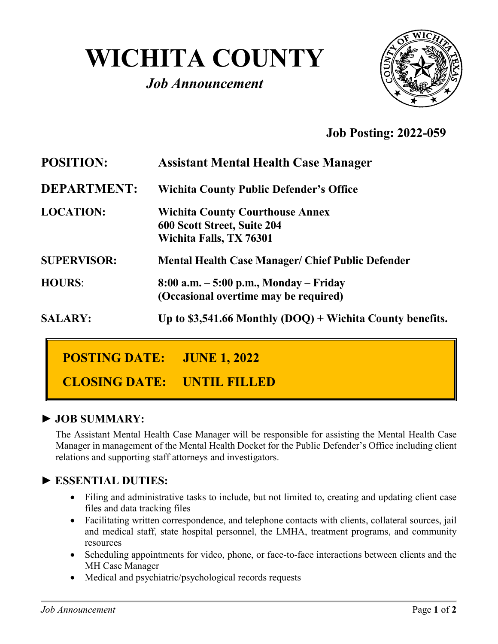# **WICHITA COUNTY**

# *Job Announcement*



# **Job Posting: 2022-059**

| <b>POSITION:</b>   | <b>Assistant Mental Health Case Manager</b>                                                      |
|--------------------|--------------------------------------------------------------------------------------------------|
| <b>DEPARTMENT:</b> | <b>Wichita County Public Defender's Office</b>                                                   |
| <b>LOCATION:</b>   | <b>Wichita County Courthouse Annex</b><br>600 Scott Street, Suite 204<br>Wichita Falls, TX 76301 |
| <b>SUPERVISOR:</b> | <b>Mental Health Case Manager/ Chief Public Defender</b>                                         |
| <b>HOURS:</b>      | $8:00$ a.m. $-5:00$ p.m., Monday $-$ Friday<br>(Occasional overtime may be required)             |
| <b>SALARY:</b>     | Up to \$3,541.66 Monthly $(DOQ)$ + Wichita County benefits.                                      |

# **POSTING DATE: JUNE 1, 2022**

**CLOSING DATE: UNTIL FILLED**

#### **► JOB SUMMARY:**

The Assistant Mental Health Case Manager will be responsible for assisting the Mental Health Case Manager in management of the Mental Health Docket for the Public Defender's Office including client relations and supporting staff attorneys and investigators.

#### **► ESSENTIAL DUTIES:**

- Filing and administrative tasks to include, but not limited to, creating and updating client case files and data tracking files
- Facilitating written correspondence, and telephone contacts with clients, collateral sources, jail and medical staff, state hospital personnel, the LMHA, treatment programs, and community resources
- Scheduling appointments for video, phone, or face-to-face interactions between clients and the MH Case Manager
- Medical and psychiatric/psychological records requests